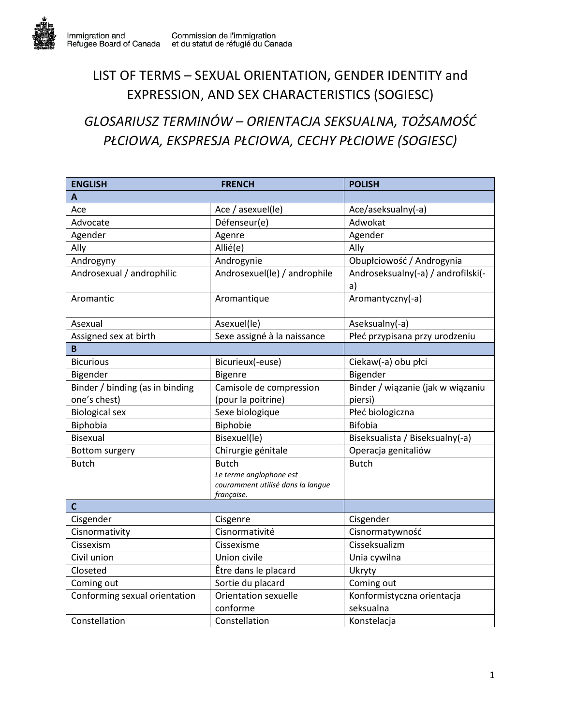## LIST OF TERMS – SEXUAL ORIENTATION, GENDER IDENTITY and EXPRESSION, AND SEX CHARACTERISTICS (SOGIESC)

## *GLOSARIUSZ TERMINÓW – ORIENTACJA SEKSUALNA, TOŻSAMOŚĆ PŁCIOWA, EKSPRESJA PŁCIOWA, CECHY PŁCIOWE (SOGIESC)*

| <b>ENGLISH</b>                  | <b>FRENCH</b>                                                                              | <b>POLISH</b>                            |
|---------------------------------|--------------------------------------------------------------------------------------------|------------------------------------------|
| A                               |                                                                                            |                                          |
| Ace                             | Ace / asexuel(le)                                                                          | Ace/aseksualny(-a)                       |
| Advocate                        | Défenseur(e)                                                                               | Adwokat                                  |
| Agender                         | Agenre                                                                                     | Agender                                  |
| Ally                            | Allié(e)                                                                                   | Ally                                     |
| Androgyny                       | Androgynie                                                                                 | Obupłciowość / Androgynia                |
| Androsexual / androphilic       | Androsexuel(le) / androphile                                                               | Androseksualny(-a) / androfilski(-<br>a) |
| Aromantic                       | Aromantique                                                                                | Aromantyczny(-a)                         |
| Asexual                         | Asexuel(le)                                                                                | Aseksualny(-a)                           |
| Assigned sex at birth           | Sexe assigné à la naissance                                                                | Płeć przypisana przy urodzeniu           |
| B                               |                                                                                            |                                          |
| <b>Bicurious</b>                | Bicurieux(-euse)                                                                           | Ciekaw(-a) obu płci                      |
| Bigender                        | <b>Bigenre</b>                                                                             | Bigender                                 |
| Binder / binding (as in binding | Camisole de compression                                                                    | Binder / wiązanie (jak w wiązaniu        |
| one's chest)                    | (pour la poitrine)                                                                         | piersi)                                  |
| <b>Biological sex</b>           | Sexe biologique                                                                            | Płeć biologiczna                         |
| Biphobia                        | Biphobie                                                                                   | <b>Bifobia</b>                           |
| <b>Bisexual</b>                 | Bisexuel(le)                                                                               | Biseksualista / Biseksualny(-a)          |
| Bottom surgery                  | Chirurgie génitale                                                                         | Operacja genitaliów                      |
| <b>Butch</b>                    | <b>Butch</b><br>Le terme anglophone est<br>couramment utilisé dans la langue<br>française. | <b>Butch</b>                             |
| $\mathbf c$                     |                                                                                            |                                          |
| Cisgender                       | Cisgenre                                                                                   | Cisgender                                |
| Cisnormativity                  | Cisnormativité                                                                             | Cisnormatywność                          |
| Cissexism                       | Cissexisme                                                                                 | Cisseksualizm                            |
| Civil union                     | Union civile                                                                               | Unia cywilna                             |
| Closeted                        | Être dans le placard                                                                       | Ukryty                                   |
| Coming out                      | Sortie du placard                                                                          | Coming out                               |
| Conforming sexual orientation   | <b>Orientation sexuelle</b>                                                                | Konformistyczna orientacja               |
|                                 | conforme                                                                                   | seksualna                                |
| Constellation                   | Constellation                                                                              | Konstelacja                              |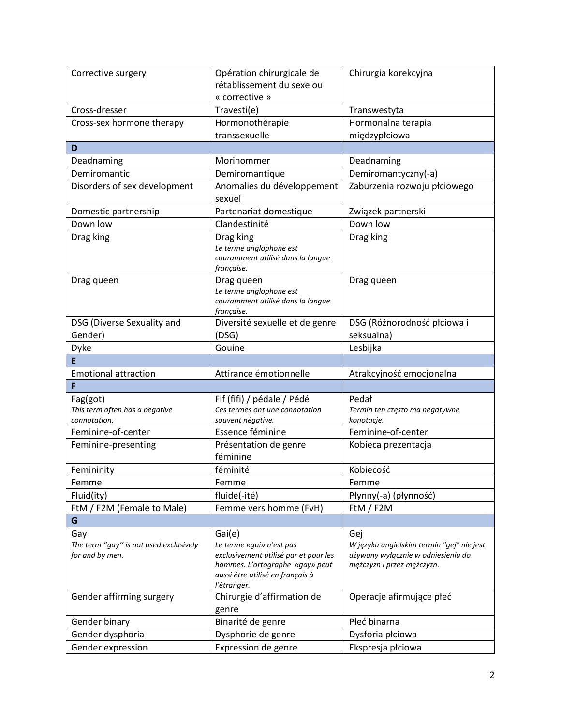| Corrective surgery                                        | Opération chirurgicale de                                         | Chirurgia korekcyjna                                                            |
|-----------------------------------------------------------|-------------------------------------------------------------------|---------------------------------------------------------------------------------|
|                                                           | rétablissement du sexe ou                                         |                                                                                 |
|                                                           | « corrective »                                                    |                                                                                 |
| Cross-dresser                                             | Travesti(e)                                                       | Transwestyta                                                                    |
| Cross-sex hormone therapy                                 | Hormonothérapie                                                   | Hormonalna terapia                                                              |
|                                                           | transsexuelle                                                     | międzypłciowa                                                                   |
| D                                                         |                                                                   |                                                                                 |
| Deadnaming                                                | Morinommer                                                        | Deadnaming                                                                      |
| Demiromantic                                              | Demiromantique                                                    | Demiromantyczny(-a)                                                             |
| Disorders of sex development                              | Anomalies du développement                                        | Zaburzenia rozwoju płciowego                                                    |
|                                                           | sexuel                                                            |                                                                                 |
| Domestic partnership                                      | Partenariat domestique                                            | Związek partnerski                                                              |
| Down low                                                  | Clandestinité                                                     | Down low                                                                        |
| Drag king                                                 | Drag king                                                         | Drag king                                                                       |
|                                                           | Le terme anglophone est                                           |                                                                                 |
|                                                           | couramment utilisé dans la langue                                 |                                                                                 |
| Drag queen                                                | française.<br>Drag queen                                          | Drag queen                                                                      |
|                                                           | Le terme anglophone est                                           |                                                                                 |
|                                                           | couramment utilisé dans la langue                                 |                                                                                 |
|                                                           | française.                                                        |                                                                                 |
| DSG (Diverse Sexuality and                                | Diversité sexuelle et de genre                                    | DSG (Różnorodność płciowa i                                                     |
| Gender)                                                   | (DSG)                                                             | seksualna)                                                                      |
| Dyke                                                      | Gouine                                                            | Lesbijka                                                                        |
| E                                                         |                                                                   |                                                                                 |
| <b>Emotional attraction</b>                               | Attirance émotionnelle                                            | Atrakcyjność emocjonalna                                                        |
| F                                                         |                                                                   |                                                                                 |
| Fag(got)                                                  | Fif (fifi) / pédale / Pédé                                        | Pedał                                                                           |
| This term often has a negative                            | Ces termes ont une connotation                                    | Termin ten często ma negatywne                                                  |
| connotation.<br>Feminine-of-center                        | souvent négative.<br>Essence féminine                             | konotacje.<br>Feminine-of-center                                                |
|                                                           |                                                                   |                                                                                 |
| Feminine-presenting                                       | Présentation de genre                                             | Kobieca prezentacja                                                             |
|                                                           | féminine                                                          |                                                                                 |
| Femininity                                                | féminité                                                          | Kobiecość                                                                       |
| Femme                                                     | Femme                                                             | Femme                                                                           |
| Fluid(ity)                                                | fluide(-ité)                                                      | Płynny(-a) (płynność)                                                           |
| FtM / F2M (Female to Male)                                | Femme vers homme (FvH)                                            | FtM / F2M                                                                       |
| G                                                         |                                                                   |                                                                                 |
| Gay                                                       | Gai(e)                                                            | Gej                                                                             |
| The term "gay" is not used exclusively<br>for and by men. | Le terme «gai» n'est pas<br>exclusivement utilisé par et pour les | W języku angielskim termin "gej" nie jest<br>używany wyłącznie w odniesieniu do |
|                                                           | hommes. L'ortographe «gay» peut                                   | mężczyzn i przez mężczyzn.                                                      |
|                                                           | aussi être utilisé en français à                                  |                                                                                 |
|                                                           | l'étranger.                                                       |                                                                                 |
| Gender affirming surgery                                  | Chirurgie d'affirmation de                                        | Operacje afirmujące płeć                                                        |
|                                                           | genre                                                             |                                                                                 |
| Gender binary                                             | Binarité de genre                                                 | Płeć binarna                                                                    |
| Gender dysphoria                                          | Dysphorie de genre                                                | Dysforia płciowa                                                                |
| Gender expression                                         | Expression de genre                                               | Ekspresja płciowa                                                               |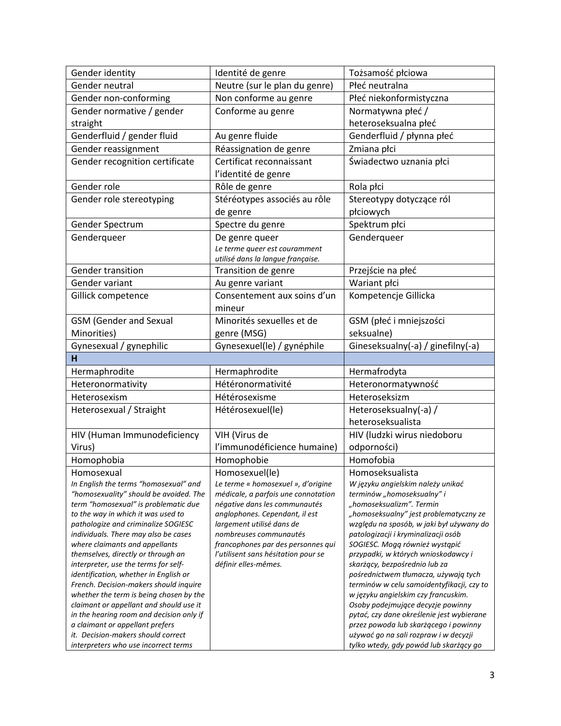| Gender identity                                                                   | Identité de genre                                           | Tożsamość płciowa                                                                |
|-----------------------------------------------------------------------------------|-------------------------------------------------------------|----------------------------------------------------------------------------------|
| Gender neutral                                                                    | Neutre (sur le plan du genre)                               | Płeć neutralna                                                                   |
| Gender non-conforming                                                             | Non conforme au genre                                       | Płeć niekonformistyczna                                                          |
| Gender normative / gender                                                         | Conforme au genre                                           | Normatywna płeć /                                                                |
| straight                                                                          |                                                             | heteroseksualna płeć                                                             |
| Genderfluid / gender fluid                                                        | Au genre fluide                                             | Genderfluid / płynna płeć                                                        |
| Gender reassignment                                                               | Réassignation de genre                                      | Zmiana płci                                                                      |
| Gender recognition certificate                                                    | Certificat reconnaissant                                    | Świadectwo uznania płci                                                          |
|                                                                                   | l'identité de genre                                         |                                                                                  |
| Gender role                                                                       | Rôle de genre                                               | Rola płci                                                                        |
| Gender role stereotyping                                                          | Stéréotypes associés au rôle                                | Stereotypy dotyczące ról                                                         |
|                                                                                   | de genre                                                    | płciowych                                                                        |
| Gender Spectrum                                                                   | Spectre du genre                                            | Spektrum płci                                                                    |
| Genderqueer                                                                       | De genre queer                                              | Genderqueer                                                                      |
|                                                                                   | Le terme queer est couramment                               |                                                                                  |
|                                                                                   | utilisé dans la langue française.                           |                                                                                  |
| <b>Gender transition</b>                                                          | Transition de genre                                         | Przejście na płeć                                                                |
| Gender variant                                                                    | Au genre variant                                            | Wariant płci                                                                     |
| Gillick competence                                                                | Consentement aux soins d'un                                 | Kompetencje Gillicka                                                             |
|                                                                                   | mineur                                                      |                                                                                  |
| <b>GSM</b> (Gender and Sexual                                                     | Minorités sexuelles et de                                   | GSM (płeć i mniejszości                                                          |
| Minorities)                                                                       | genre (MSG)                                                 | seksualne)                                                                       |
| Gynesexual / gynephilic                                                           | Gynesexuel(le) / gynéphile                                  | Gineseksualny(-a) / ginefilny(-a)                                                |
| н                                                                                 |                                                             |                                                                                  |
| Hermaphrodite                                                                     | Hermaphrodite                                               | Hermafrodyta                                                                     |
| Heteronormativity                                                                 | Hétéronormativité                                           | Heteronormatywność                                                               |
| Heterosexism                                                                      | Hétérosexisme                                               | Heteroseksizm                                                                    |
| Heterosexual / Straight                                                           | Hétérosexuel(le)                                            | Heteroseksualny(-a) /                                                            |
|                                                                                   |                                                             | heteroseksualista                                                                |
| HIV (Human Immunodeficiency                                                       | VIH (Virus de                                               | HIV (ludzki wirus niedoboru                                                      |
| Virus)                                                                            | l'immunodéficience humaine)                                 | odporności)                                                                      |
| Homophobia                                                                        | Homophobie                                                  | Homofobia                                                                        |
| Homosexual                                                                        | Homosexuel(le)                                              | Homoseksualista                                                                  |
| In English the terms "homosexual" and                                             | Le terme « homosexuel », d'origine                          | W języku angielskim należy unikać                                                |
| "homosexuality" should be avoided. The                                            | médicale, a parfois une connotation                         | terminów "homoseksualny" i                                                       |
| term "homosexual" is problematic due                                              | négative dans les communautés                               | "homoseksualizm". Termin<br>"homoseksualny" jest problematyczny ze               |
| to the way in which it was used to<br>pathologize and criminalize SOGIESC         | anglophones. Cependant, il est<br>largement utilisé dans de | względu na sposób, w jaki był używany do                                         |
| individuals. There may also be cases                                              | nombreuses communautés                                      | patologizacji i kryminalizacji osób                                              |
| where claimants and appellants                                                    | francophones par des personnes qui                          | SOGIESC. Mogą również wystąpić                                                   |
| themselves, directly or through an                                                | l'utilisent sans hésitation pour se                         | przypadki, w których wnioskodawcy i                                              |
| interpreter, use the terms for self-                                              | définir elles-mêmes.                                        | skarżący, bezpośrednio lub za                                                    |
| identification, whether in English or                                             |                                                             | pośrednictwem tłumacza, używają tych                                             |
| French. Decision-makers should inquire<br>whether the term is being chosen by the |                                                             | terminów w celu samoidentyfikacji, czy to<br>w języku angielskim czy francuskim. |
| claimant or appellant and should use it                                           |                                                             | Osoby podejmujące decyzje powinny                                                |
| in the hearing room and decision only if                                          |                                                             | pytać, czy dane określenie jest wybierane                                        |
| a claimant or appellant prefers                                                   |                                                             | przez powoda lub skarżącego i powinny                                            |
| it. Decision-makers should correct                                                |                                                             | używać go na sali rozpraw i w decyzji                                            |
| interpreters who use incorrect terms                                              |                                                             | tylko wtedy, gdy powód lub skarżący go                                           |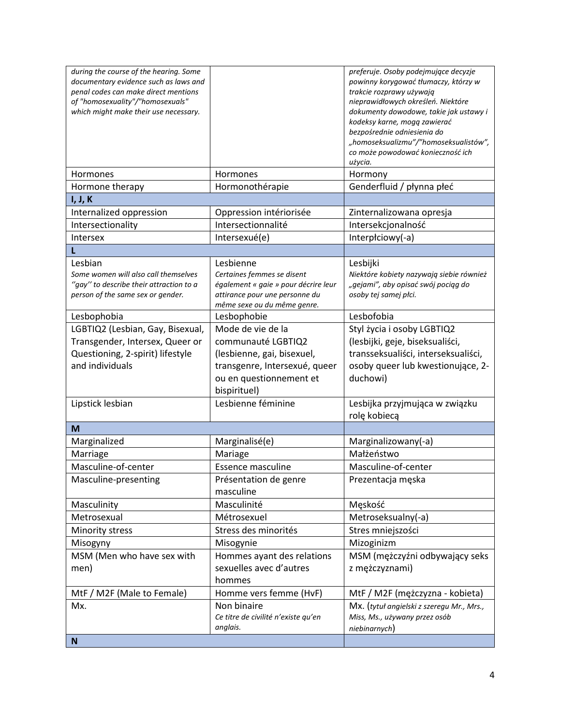| during the course of the hearing. Some                                        |                                                                        | preferuje. Osoby podejmujące decyzje                             |
|-------------------------------------------------------------------------------|------------------------------------------------------------------------|------------------------------------------------------------------|
| documentary evidence such as laws and<br>penal codes can make direct mentions |                                                                        | powinny korygować tłumaczy, którzy w<br>trakcie rozprawy używają |
| of "homosexuality"/"homosexuals"                                              |                                                                        | nieprawidłowych określeń. Niektóre                               |
| which might make their use necessary.                                         |                                                                        | dokumenty dowodowe, takie jak ustawy i                           |
|                                                                               |                                                                        | kodeksy karne, mogą zawierać                                     |
|                                                                               |                                                                        | bezpośrednie odniesienia do                                      |
|                                                                               |                                                                        | "homoseksualizmu"/"homoseksualistów",                            |
|                                                                               |                                                                        | co może powodować konieczność ich<br>użycia.                     |
| <b>Hormones</b>                                                               | Hormones                                                               | Hormony                                                          |
| Hormone therapy                                                               | Hormonothérapie                                                        | Genderfluid / płynna płeć                                        |
| I, J, K                                                                       |                                                                        |                                                                  |
| Internalized oppression                                                       | Oppression intériorisée                                                | Zinternalizowana opresja                                         |
| Intersectionality                                                             | Intersectionnalité                                                     | Intersekcjonalność                                               |
| <b>Intersex</b>                                                               | Intersexué(e)                                                          | Interpłciowy(-a)                                                 |
|                                                                               |                                                                        |                                                                  |
| Lesbian                                                                       | Lesbienne                                                              | Lesbijki                                                         |
| Some women will also call themselves                                          | Certaines femmes se disent                                             | Niektóre kobiety nazywają siebie również                         |
| "gay" to describe their attraction to a                                       | également « gaie » pour décrire leur<br>attirance pour une personne du | "gejami", aby opisać swój pociąg do<br>osoby tej samej płci.     |
| person of the same sex or gender.                                             | même sexe ou du même genre.                                            |                                                                  |
| Lesbophobia                                                                   | Lesbophobie                                                            | Lesbofobia                                                       |
| LGBTIQ2 (Lesbian, Gay, Bisexual,                                              | Mode de vie de la                                                      | Styl życia i osoby LGBTIQ2                                       |
| Transgender, Intersex, Queer or                                               | communauté LGBTIQ2                                                     | (lesbijki, geje, biseksualiści,                                  |
| Questioning, 2-spirit) lifestyle                                              | (lesbienne, gai, bisexuel,                                             | transseksualiści, interseksualiści,                              |
| and individuals                                                               | transgenre, Intersexué, queer                                          | osoby queer lub kwestionujące, 2-                                |
|                                                                               | ou en questionnement et                                                | duchowi)                                                         |
|                                                                               | bispirituel)                                                           |                                                                  |
| Lipstick lesbian                                                              | Lesbienne féminine                                                     | Lesbijka przyjmująca w związku                                   |
|                                                                               |                                                                        | rolę kobiecą                                                     |
| M                                                                             |                                                                        |                                                                  |
| Marginalized                                                                  | Marginalisé(e)                                                         | Marginalizowany(-a)                                              |
| Marriage                                                                      | Mariage                                                                | Małżeństwo                                                       |
| Masculine-of-center                                                           | <b>Essence masculine</b>                                               | Masculine-of-center                                              |
| Masculine-presenting                                                          | Présentation de genre                                                  | Prezentacja męska                                                |
|                                                                               | masculine                                                              |                                                                  |
| Masculinity<br>Metrosexual                                                    | Masculinité<br>Métrosexuel                                             | Męskość<br>Metroseksualny(-a)                                    |
|                                                                               | Stress des minorités                                                   |                                                                  |
| Minority stress                                                               | Misogynie                                                              | Stres mniejszości<br>Mizoginizm                                  |
| Misogyny<br>MSM (Men who have sex with                                        | Hommes ayant des relations                                             | MSM (mężczyźni odbywający seks                                   |
|                                                                               |                                                                        |                                                                  |
| men)                                                                          | sexuelles avec d'autres<br>hommes                                      | z mężczyznami)                                                   |
| MtF / M2F (Male to Female)                                                    | Homme vers femme (HvF)                                                 | MtF / M2F (mężczyzna - kobieta)                                  |
| Mx.                                                                           | Non binaire                                                            | Mx. (tytuł angielski z szeregu Mr., Mrs.,                        |
|                                                                               | Ce titre de civilité n'existe qu'en                                    | Miss, Ms., używany przez osób                                    |
|                                                                               | anglais.                                                               | niebinarnych)                                                    |
| <sub>N</sub>                                                                  |                                                                        |                                                                  |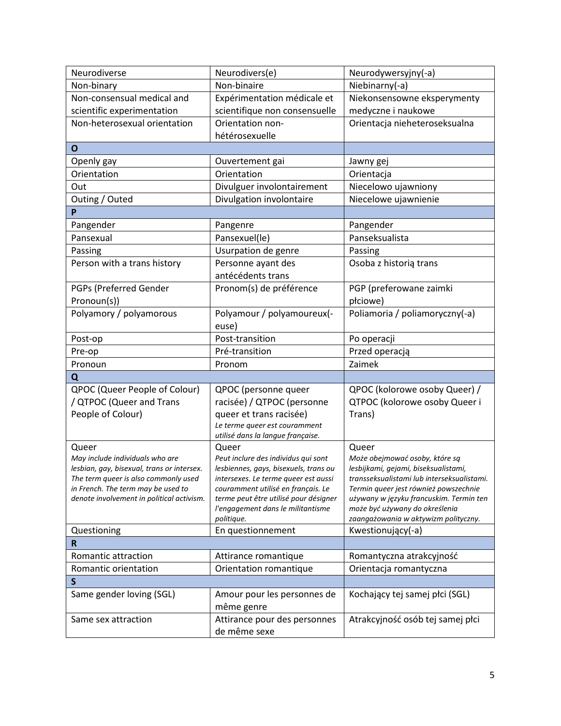| Neurodiverse                                                                  | Neurodivers(e)                                                               | Neurodywersyjny(-a)                                                    |
|-------------------------------------------------------------------------------|------------------------------------------------------------------------------|------------------------------------------------------------------------|
| Non-binary                                                                    | Non-binaire                                                                  | Niebinarny(-a)                                                         |
| Non-consensual medical and                                                    | Expérimentation médicale et                                                  | Niekonsensowne eksperymenty                                            |
| scientific experimentation                                                    | scientifique non consensuelle                                                | medyczne i naukowe                                                     |
| Non-heterosexual orientation                                                  | Orientation non-                                                             | Orientacja nieheteroseksualna                                          |
|                                                                               | hétérosexuelle                                                               |                                                                        |
| O                                                                             |                                                                              |                                                                        |
| Openly gay                                                                    | Ouvertement gai                                                              | Jawny gej                                                              |
| Orientation                                                                   | Orientation                                                                  | Orientacja                                                             |
| Out                                                                           | Divulguer involontairement                                                   | Niecelowo ujawniony                                                    |
| Outing / Outed                                                                | Divulgation involontaire                                                     | Niecelowe ujawnienie                                                   |
| P                                                                             |                                                                              |                                                                        |
| Pangender                                                                     | Pangenre                                                                     | Pangender                                                              |
| Pansexual                                                                     | Pansexuel(le)                                                                | Panseksualista                                                         |
| Passing                                                                       | Usurpation de genre                                                          | Passing                                                                |
| Person with a trans history                                                   | Personne ayant des                                                           | Osoba z historią trans                                                 |
|                                                                               | antécédents trans                                                            |                                                                        |
| PGPs (Preferred Gender                                                        | Pronom(s) de préférence                                                      | PGP (preferowane zaimki                                                |
| Pronoun(s))                                                                   |                                                                              | płciowe)                                                               |
| Polyamory / polyamorous                                                       | Polyamour / polyamoureux(-<br>euse)                                          | Poliamoria / poliamoryczny(-a)                                         |
| Post-op                                                                       | Post-transition                                                              | Po operacji                                                            |
| Pre-op                                                                        | Pré-transition                                                               | Przed operacją                                                         |
| Pronoun                                                                       | Pronom                                                                       | Zaimek                                                                 |
| Q                                                                             |                                                                              |                                                                        |
| QPOC (Queer People of Colour)                                                 | QPOC (personne queer                                                         | QPOC (kolorowe osoby Queer) /                                          |
| / QTPOC (Queer and Trans                                                      | racisée) / QTPOC (personne                                                   | QTPOC (kolorowe osoby Queer i                                          |
| People of Colour)                                                             | queer et trans racisée)                                                      | Trans)                                                                 |
|                                                                               | Le terme queer est couramment                                                |                                                                        |
|                                                                               | utilisé dans la langue française.                                            |                                                                        |
| Queer                                                                         | Queer                                                                        | Queer                                                                  |
| May include individuals who are<br>lesbian, gay, bisexual, trans or intersex. | Peut inclure des individus qui sont<br>lesbiennes, gays, bisexuels, trans ou | Może obejmować osoby, które są<br>lesbijkami, gejami, biseksualistami, |
| The term queer is also commonly used                                          | intersexes. Le terme queer est aussi                                         | transseksualistami lub interseksualistami.                             |
| in French. The term may be used to                                            | couramment utilisé en français. Le                                           | Termin queer jest również powszechnie                                  |
| denote involvement in political activism.                                     | terme peut être utilisé pour désigner                                        | używany w języku francuskim. Termin ten                                |
|                                                                               | l'engagement dans le militantisme<br>politique.                              | może być używany do określenia<br>zaangażowania w aktywizm polityczny. |
| Questioning                                                                   | En questionnement                                                            | Kwestionujący(-a)                                                      |
| R                                                                             |                                                                              |                                                                        |
| Romantic attraction                                                           | Attirance romantique                                                         | Romantyczna atrakcyjność                                               |
| Romantic orientation                                                          | Orientation romantique                                                       | Orientacja romantyczna                                                 |
| S                                                                             |                                                                              |                                                                        |
| Same gender loving (SGL)                                                      | Amour pour les personnes de                                                  | Kochający tej samej płci (SGL)                                         |
|                                                                               |                                                                              |                                                                        |
|                                                                               |                                                                              |                                                                        |
| Same sex attraction                                                           | même genre                                                                   |                                                                        |
|                                                                               | Attirance pour des personnes<br>de même sexe                                 | Atrakcyjność osób tej samej płci                                       |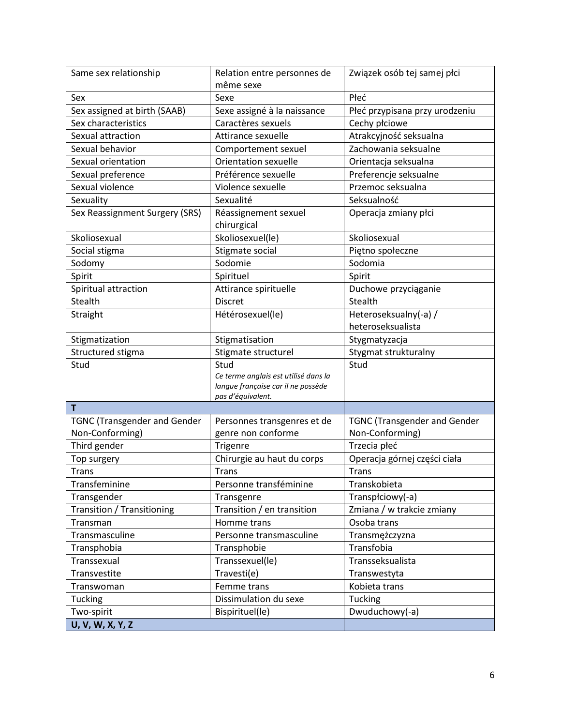| Same sex relationship                | Relation entre personnes de<br>même sexe           | Związek osób tej samej płci                |
|--------------------------------------|----------------------------------------------------|--------------------------------------------|
| Sex                                  | Sexe                                               | Płeć                                       |
| Sex assigned at birth (SAAB)         | Sexe assigné à la naissance                        | Płeć przypisana przy urodzeniu             |
| Sex characteristics                  | Caractères sexuels                                 | Cechy płciowe                              |
| Sexual attraction                    | Attirance sexuelle                                 | Atrakcyjność seksualna                     |
| Sexual behavior                      |                                                    | Zachowania seksualne                       |
| Sexual orientation                   | Comportement sexuel<br><b>Orientation sexuelle</b> | Orientacja seksualna                       |
|                                      | Préférence sexuelle                                |                                            |
| Sexual preference<br>Sexual violence | Violence sexuelle                                  | Preferencje seksualne<br>Przemoc seksualna |
| Sexuality                            | Sexualité                                          | Seksualność                                |
|                                      |                                                    |                                            |
| Sex Reassignment Surgery (SRS)       | Réassignement sexuel<br>chirurgical                | Operacja zmiany płci                       |
| Skoliosexual                         | Skoliosexuel(le)                                   | Skoliosexual                               |
| Social stigma                        | Stigmate social                                    | Piętno społeczne                           |
| Sodomy                               | Sodomie                                            | Sodomia                                    |
| Spirit                               | Spirituel                                          | Spirit                                     |
| Spiritual attraction                 | Attirance spirituelle                              | Duchowe przyciąganie                       |
| <b>Stealth</b>                       | <b>Discret</b>                                     | Stealth                                    |
| Straight                             | Hétérosexuel(le)                                   | Heteroseksualny(-a) /                      |
|                                      |                                                    | heteroseksualista                          |
| Stigmatization                       | Stigmatisation                                     | Stygmatyzacja                              |
| Structured stigma                    | Stigmate structurel                                | Stygmat strukturalny                       |
| Stud                                 | Stud<br>Ce terme anglais est utilisé dans la       | Stud                                       |
|                                      | langue française car il ne possède                 |                                            |
|                                      | pas d'équivalent.                                  |                                            |
| T                                    |                                                    |                                            |
| <b>TGNC (Transgender and Gender</b>  | Personnes transgenres et de                        | <b>TGNC (Transgender and Gender</b>        |
| Non-Conforming)                      | genre non conforme                                 | Non-Conforming)                            |
| Third gender                         | Trigenre                                           | Trzecia płeć                               |
| Top surgery                          | Chirurgie au haut du corps                         | Operacja górnej części ciała               |
| <b>Trans</b>                         | <b>Trans</b>                                       | <b>Trans</b>                               |
| Transfeminine                        | Personne transféminine                             | Transkobieta                               |
| Transgender                          | Transgenre                                         | Transpłciowy(-a)                           |
| <b>Transition / Transitioning</b>    | Transition / en transition                         | Zmiana / w trakcie zmiany                  |
| Transman                             | Homme trans                                        | Osoba trans                                |
| Transmasculine                       | Personne transmasculine                            | Transmężczyzna                             |
| Transphobia                          | Transphobie                                        | Transfobia                                 |
| Transsexual                          | Transsexuel(le)                                    | Transseksualista                           |
| Transvestite                         | Travesti(e)                                        | Transwestyta                               |
| Transwoman                           | Femme trans                                        | Kobieta trans                              |
| Tucking                              | Dissimulation du sexe                              | Tucking                                    |
| Two-spirit                           | Bispirituel(le)                                    | Dwuduchowy(-a)                             |
| U, V, W, X, Y, Z                     |                                                    |                                            |